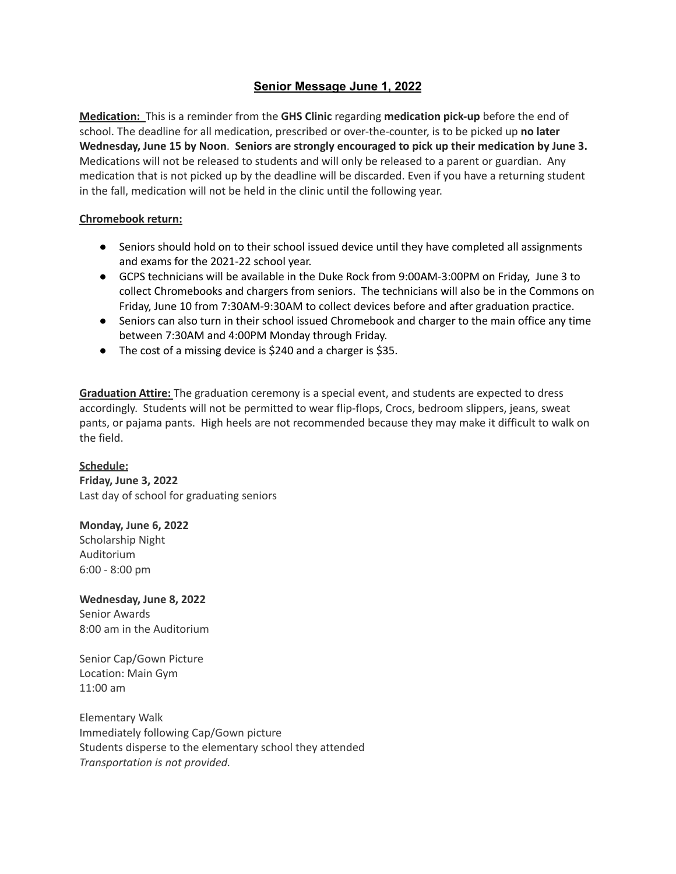## **Senior Message June 1, 2022**

**Medication:** This is a reminder from the **GHS Clinic** regarding **medication pick-up** before the end of school. The deadline for all medication, prescribed or over-the-counter, is to be picked up **no later Wednesday, June 15 by Noon**. **Seniors are strongly encouraged to pick up their medication by June 3.** Medications will not be released to students and will only be released to a parent or guardian. Any medication that is not picked up by the deadline will be discarded. Even if you have a returning student in the fall, medication will not be held in the clinic until the following year.

## **Chromebook return:**

- Seniors should hold on to their school issued device until they have completed all assignments and exams for the 2021-22 school year.
- GCPS technicians will be available in the Duke Rock from 9:00AM-3:00PM on Friday, June 3 to collect Chromebooks and chargers from seniors. The technicians will also be in the Commons on Friday, June 10 from 7:30AM-9:30AM to collect devices before and after graduation practice.
- Seniors can also turn in their school issued Chromebook and charger to the main office any time between 7:30AM and 4:00PM Monday through Friday.
- The cost of a missing device is \$240 and a charger is \$35.

**Graduation Attire:** The graduation ceremony is a special event, and students are expected to dress accordingly. Students will not be permitted to wear flip-flops, Crocs, bedroom slippers, jeans, sweat pants, or pajama pants. High heels are not recommended because they may make it difficult to walk on the field.

## **Schedule:**

**Friday, June 3, 2022** Last day of school for graduating seniors

## **Monday, June 6, 2022**

Scholarship Night Auditorium 6:00 - 8:00 pm

**Wednesday, June 8, 2022** Senior Awards 8:00 am in the Auditorium

Senior Cap/Gown Picture Location: Main Gym 11:00 am

Elementary Walk Immediately following Cap/Gown picture Students disperse to the elementary school they attended *Transportation is not provided.*